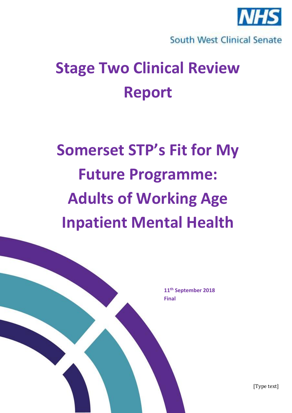

South West Clinical Senate

## **Stage Two Clinical Review Report**

# **Somerset STP's Fit for My Future Programme: Adults of Working Age Inpatient Mental Health**

**11th September 2018 Final**

[Type text]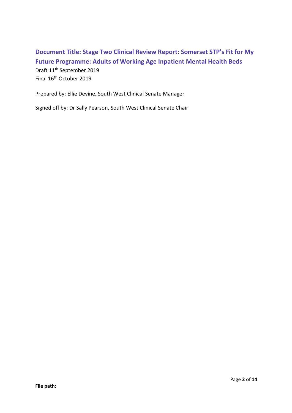## **Document Title: Stage Two Clinical Review Report: Somerset STP's Fit for My Future Programme: Adults of Working Age Inpatient Mental Health Beds** Draft 11th September 2019 Final 16th October 2019

Prepared by: Ellie Devine, South West Clinical Senate Manager

Signed off by: Dr Sally Pearson, South West Clinical Senate Chair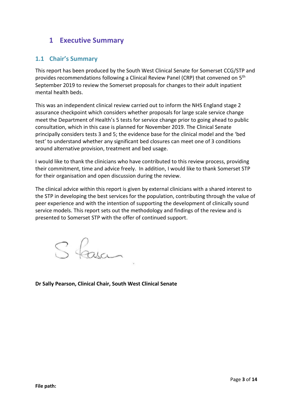#### **1 Executive Summary**

#### **1.1 Chair's Summary**

This report has been produced by the South West Clinical Senate for Somerset CCG/STP and provides recommendations following a Clinical Review Panel (CRP) that convened on 5<sup>th</sup> September 2019 to review the Somerset proposals for changes to their adult inpatient mental health beds.

This was an independent clinical review carried out to inform the NHS England stage 2 assurance checkpoint which considers whether proposals for large scale service change meet the Department of Health's 5 tests for service change prior to going ahead to public consultation, which in this case is planned for November 2019. The Clinical Senate principally considers tests 3 and 5; the evidence base for the clinical model and the 'bed test' to understand whether any significant bed closures can meet one of 3 conditions around alternative provision, treatment and bed usage.

I would like to thank the clinicians who have contributed to this review process, providing their commitment, time and advice freely. In addition, I would like to thank Somerset STP for their organisation and open discussion during the review.

The clinical advice within this report is given by external clinicians with a shared interest to the STP in developing the best services for the population, contributing through the value of peer experience and with the intention of supporting the development of clinically sound service models. This report sets out the methodology and findings of the review and is presented to Somerset STP with the offer of continued support.

S fasci

**Dr Sally Pearson, Clinical Chair, South West Clinical Senate**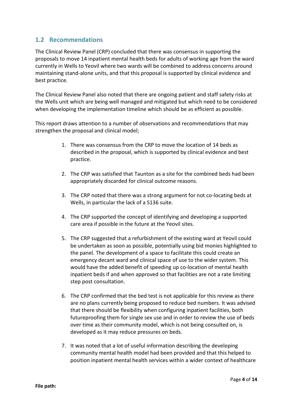#### **1.2 Recommendations**

The Clinical Review Panel (CRP) concluded that there was consensus in supporting the proposals to move 14 inpatient mental health beds for adults of working age from the ward currently in Wells to Yeovil where two wards will be combined to address concerns around maintaining stand-alone units, and that this proposal is supported by clinical evidence and best practice.

The Clinical Review Panel also noted that there are ongoing patient and staff safety risks at the Wells unit which are being well managed and mitigated but which need to be considered when developing the implementation timeline which should be as efficient as possible.

This report draws attention to a number of observations and recommendations that may strengthen the proposal and clinical model;

- 1. There was consensus from the CRP to move the location of 14 beds as described in the proposal, which is supported by clinical evidence and best practice.
- 2. The CRP was satisfied that Taunton as a site for the combined beds had been appropriately discarded for clinical outcome reasons.
- 3. The CRP noted that there was a strong argument for not co-locating beds at Wells, in particular the lack of a S136 suite.
- 4. The CRP supported the concept of identifying and developing a supported care area if possible in the future at the Yeovil sites.
- 5. The CRP suggested that a refurbishment of the existing ward at Yeovil could be undertaken as soon as possible, potentially using bid monies highlighted to the panel. The development of a space to facilitate this could create an emergency decant ward and clinical space of use to the wider system. This would have the added benefit of speeding up co-location of mental health inpatient beds if and when approved so that facilities are not a rate limiting step post consultation.
- 6. The CRP confirmed that the bed test is not applicable for this review as there are no plans currently being proposed to reduce bed numbers. It was advised that there should be flexibility when configuring inpatient facilities, both futureproofing them for single sex use and in order to review the use of beds over time as their community model, which is not being consulted on, is developed as it may reduce pressures on beds.
- 7. It was noted that a lot of useful information describing the developing community mental health model had been provided and that this helped to position inpatient mental health services within a wider context of healthcare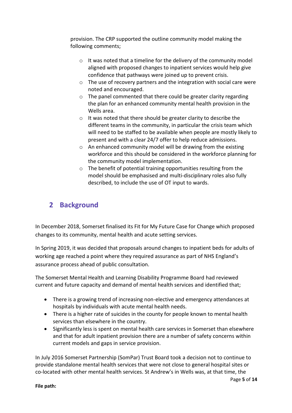provision. The CRP supported the outline community model making the following comments;

- o It was noted that a timeline for the delivery of the community model aligned with proposed changes to inpatient services would help give confidence that pathways were joined up to prevent crisis.
- o The use of recovery partners and the integration with social care were noted and encouraged.
- o The panel commented that there could be greater clarity regarding the plan for an enhanced community mental health provision in the Wells area.
- o It was noted that there should be greater clarity to describe the different teams in the community, in particular the crisis team which will need to be staffed to be available when people are mostly likely to present and with a clear 24/7 offer to help reduce admissions.
- o An enhanced community model will be drawing from the existing workforce and this should be considered in the workforce planning for the community model implementation.
- o The benefit of potential training opportunities resulting from the model should be emphasised and multi-disciplinary roles also fully described, to include the use of OT input to wards.

## **2 Background**

In December 2018, Somerset finalised its Fit for My Future Case for Change which proposed changes to its community, mental health and acute setting services.

In Spring 2019, it was decided that proposals around changes to inpatient beds for adults of working age reached a point where they required assurance as part of NHS England's assurance process ahead of public consultation.

The Somerset Mental Health and Learning Disability Programme Board had reviewed current and future capacity and demand of mental health services and identified that;

- There is a growing trend of increasing non-elective and emergency attendances at hospitals by individuals with acute mental health needs.
- There is a higher rate of suicides in the county for people known to mental health services than elsewhere in the country.
- Significantly less is spent on mental health care services in Somerset than elsewhere and that for adult inpatient provision there are a number of safety concerns within current models and gaps in service provision.

In July 2016 Somerset Partnership (SomPar) Trust Board took a decision not to continue to provide standalone mental health services that were not close to general hospital sites or co-located with other mental health services. St Andrew's in Wells was, at that time, the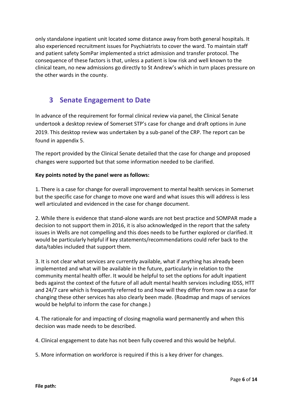only standalone inpatient unit located some distance away from both general hospitals. It also experienced recruitment issues for Psychiatrists to cover the ward. To maintain staff and patient safety SomPar implemented a strict admission and transfer protocol. The consequence of these factors is that, unless a patient is low risk and well known to the clinical team, no new admissions go directly to St Andrew's which in turn places pressure on the other wards in the county.

#### **3 Senate Engagement to Date**

In advance of the requirement for formal clinical review via panel, the Clinical Senate undertook a desktop review of Somerset STP's case for change and draft options in June 2019. This desktop review was undertaken by a sub-panel of the CRP. The report can be found in appendix 5.

The report provided by the Clinical Senate detailed that the case for change and proposed changes were supported but that some information needed to be clarified.

#### **Key points noted by the panel were as follows:**

1. There is a case for change for overall improvement to mental health services in Somerset but the specific case for change to move one ward and what issues this will address is less well articulated and evidenced in the case for change document.

2. While there is evidence that stand-alone wards are not best practice and SOMPAR made a decision to not support them in 2016, it is also acknowledged in the report that the safety issues in Wells are not compelling and this does needs to be further explored or clarified. It would be particularly helpful if key statements/recommendations could refer back to the data/tables included that support them.

3. It is not clear what services are currently available, what if anything has already been implemented and what will be available in the future, particularly in relation to the community mental health offer. It would be helpful to set the options for adult inpatient beds against the context of the future of all adult mental health services including IDSS, HTT and 24/7 care which is frequently referred to and how will they differ from now as a case for changing these other services has also clearly been made. (Roadmap and maps of services would be helpful to inform the case for change.)

4. The rationale for and impacting of closing magnolia ward permanently and when this decision was made needs to be described.

4. Clinical engagement to date has not been fully covered and this would be helpful.

5. More information on workforce is required if this is a key driver for changes.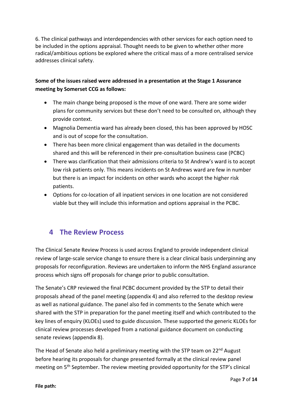6. The clinical pathways and interdependencies with other services for each option need to be included in the options appraisal. Thought needs to be given to whether other more radical/ambitious options be explored where the critical mass of a more centralised service addresses clinical safety.

#### **Some of the issues raised were addressed in a presentation at the Stage 1 Assurance meeting by Somerset CCG as follows:**

- The main change being proposed is the move of one ward. There are some wider plans for community services but these don't need to be consulted on, although they provide context.
- Magnolia Dementia ward has already been closed, this has been approved by HOSC and is out of scope for the consultation.
- There has been more clinical engagement than was detailed in the documents shared and this will be referenced in their pre-consultation business case (PCBC)
- There was clarification that their admissions criteria to St Andrew's ward is to accept low risk patients only. This means incidents on St Andrews ward are few in number but there is an impact for incidents on other wards who accept the higher risk patients.
- Options for co-location of all inpatient services in one location are not considered viable but they will include this information and options appraisal in the PCBC.

#### **4 The Review Process**

The Clinical Senate Review Process is used across England to provide independent clinical review of large-scale service change to ensure there is a clear clinical basis underpinning any proposals for reconfiguration. Reviews are undertaken to inform the NHS England assurance process which signs off proposals for change prior to public consultation.

The Senate's CRP reviewed the final PCBC document provided by the STP to detail their proposals ahead of the panel meeting (appendix 4) and also referred to the desktop review as well as national guidance. The panel also fed in comments to the Senate which were shared with the STP in preparation for the panel meeting itself and which contributed to the key lines of enquiry (KLOEs) used to guide discussion. These supported the generic KLOEs for clinical review processes developed from a national guidance document on conducting senate reviews (appendix 8).

The Head of Senate also held a preliminary meeting with the STP team on 22<sup>nd</sup> August before hearing its proposals for change presented formally at the clinical review panel meeting on 5<sup>th</sup> September. The review meeting provided opportunity for the STP's clinical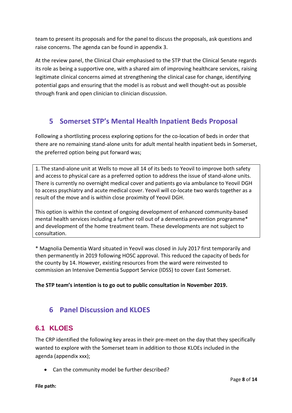team to present its proposals and for the panel to discuss the proposals, ask questions and raise concerns. The agenda can be found in appendix 3.

At the review panel, the Clinical Chair emphasised to the STP that the Clinical Senate regards its role as being a supportive one, with a shared aim of improving healthcare services, raising legitimate clinical concerns aimed at strengthening the clinical case for change, identifying potential gaps and ensuring that the model is as robust and well thought-out as possible through frank and open clinician to clinician discussion.

## **5 Somerset STP's Mental Health Inpatient Beds Proposal**

Following a shortlisting process exploring options for the co-location of beds in order that there are no remaining stand-alone units for adult mental health inpatient beds in Somerset, the preferred option being put forward was;

1. The stand-alone unit at Wells to move all 14 of its beds to Yeovil to improve both safety and access to physical care as a preferred option to address the issue of stand-alone units. There is currently no overnight medical cover and patients go via ambulance to Yeovil DGH to access psychiatry and acute medical cover. Yeovil will co-locate two wards together as a result of the move and is within close proximity of Yeovil DGH.

This option is within the context of ongoing development of enhanced community-based mental health services including a further roll out of a dementia prevention programme\* and development of the home treatment team. These developments are not subject to consultation.

\* Magnolia Dementia Ward situated in Yeovil was closed in July 2017 first temporarily and then permanently in 2019 following HOSC approval. This reduced the capacity of beds for the county by 14. However, existing resources from the ward were reinvested to commission an Intensive Dementia Support Service (IDSS) to cover East Somerset.

**The STP team's intention is to go out to public consultation in November 2019.**

## **6 Panel Discussion and KLOES**

#### **6.1 KLOES**

The CRP identified the following key areas in their pre-meet on the day that they specifically wanted to explore with the Somerset team in addition to those KLOEs included in the agenda (appendix xxx);

• Can the community model be further described?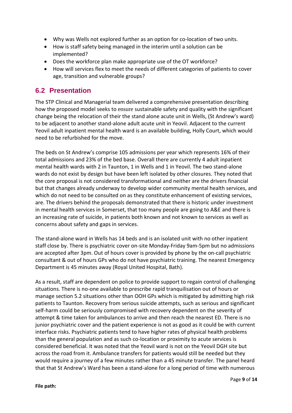- Why was Wells not explored further as an option for co-location of two units.
- How is staff safety being managed in the interim until a solution can be implemented?
- Does the workforce plan make appropriate use of the OT workforce?
- How will services flex to meet the needs of different categories of patients to cover age, transition and vulnerable groups?

#### **6.2 Presentation**

The STP Clinical and Managerial team delivered a comprehensive presentation describing how the proposed model seeks to ensure sustainable safety and quality with the significant change being the relocation of their the stand alone acute unit in Wells, (St Andrew's ward) to be adjacent to another stand-alone adult acute unit in Yeovil. Adjacent to the current Yeovil adult inpatient mental health ward is an available building, Holly Court, which would need to be refurbished for the move.

The beds on St Andrew's comprise 105 admissions per year which represents 16% of their total admissions and 23% of the bed base. Overall there are currently 4 adult inpatient mental health wards with 2 in Taunton, 1 in Wells and 1 in Yeovil. The two stand-alone wards do not exist by design but have been left isolated by other closures. They noted that the core proposal is not considered transformational and neither are the drivers financial but that changes already underway to develop wider community mental health services, and which do not need to be consulted on as they constitute enhancement of existing services, are. The drivers behind the proposals demonstrated that there is historic under investment in mental health services in Somerset, that too many people are going to A&E and there is an increasing rate of suicide, in patients both known and not known to services as well as concerns about safety and gaps in services.

The stand-alone ward in Wells has 14 beds and is an isolated unit with no other inpatient staff close by. There is psychiatric cover on-site Monday-Friday 9am-5pm but no admissions are accepted after 3pm. Out of hours cover is provided by phone by the on-call psychiatric consultant & out of hours GPs who do not have psychiatric training. The nearest Emergency Department is 45 minutes away (Royal United Hospital, Bath).

As a result, staff are dependent on police to provide support to regain control of challenging situations. There is no-one available to prescribe rapid tranquilisation out of hours or manage section 5.2 situations other than OOH GPs which is mitigated by admitting high risk patients to Taunton. Recovery from serious suicide attempts, such as serious and significant self-harm could be seriously compromised with recovery dependent on the severity of attempt & time taken for ambulances to arrive and then reach the nearest ED. There is no junior psychiatric cover and the patient experience is not as good as it could be with current interface risks. Psychiatric patients tend to have higher rates of physical health problems than the general population and as such co-location or proximity to acute services is considered beneficial. It was noted that the Yeovil ward is not on the Yeovil DGH site but across the road from it. Ambulance transfers for patients would still be needed but they would require a journey of a few minutes rather than a 45 minute transfer. The panel heard that that St Andrew's Ward has been a stand-alone for a long period of time with numerous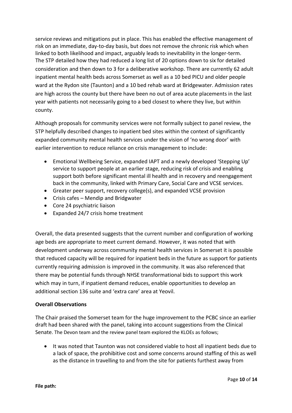service reviews and mitigations put in place. This has enabled the effective management of risk on an immediate, day-to-day basis, but does not remove the chronic risk which when linked to both likelihood and impact, arguably leads to inevitability in the longer-term. The STP detailed how they had reduced a long list of 20 options down to six for detailed consideration and then down to 3 for a deliberative workshop. There are currently 62 adult inpatient mental health beds across Somerset as well as a 10 bed PICU and older people ward at the Rydon site (Taunton) and a 10 bed rehab ward at Bridgewater. Admission rates are high across the county but there have been no out of area acute placements in the last year with patients not necessarily going to a bed closest to where they live, but within county.

Although proposals for community services were not formally subject to panel review, the STP helpfully described changes to inpatient bed sites within the context of significantly expanded community mental health services under the vision of 'no wrong door' with earlier intervention to reduce reliance on crisis management to include:

- Emotional Wellbeing Service, expanded IAPT and a newly developed 'Stepping Up' service to support people at an earlier stage, reducing risk of crisis and enabling support both before significant mental ill health and in recovery and reengagement back in the community, linked with Primary Care, Social Care and VCSE services.
- Greater peer support, recovery college(s), and expanded VCSE provision
- Crisis cafes Mendip and Bridgwater
- Core 24 psychiatric liaison
- Expanded 24/7 crisis home treatment

Overall, the data presented suggests that the current number and configuration of working age beds are appropriate to meet current demand. However, it was noted that with development underway across community mental health services in Somerset it is possible that reduced capacity will be required for inpatient beds in the future as support for patients currently requiring admission is improved in the community. It was also referenced that there may be potential funds through NHSE transformational bids to support this work which may in turn, if inpatient demand reduces, enable opportunities to develop an additional section 136 suite and 'extra care' area at Yeovil.

#### **Overall Observations**

The Chair praised the Somerset team for the huge improvement to the PCBC since an earlier draft had been shared with the panel, taking into account suggestions from the Clinical Senate. The Devon team and the review panel team explored the KLOEs as follows;

• It was noted that Taunton was not considered viable to host all inpatient beds due to a lack of space, the prohibitive cost and some concerns around staffing of this as well as the distance in travelling to and from the site for patients furthest away from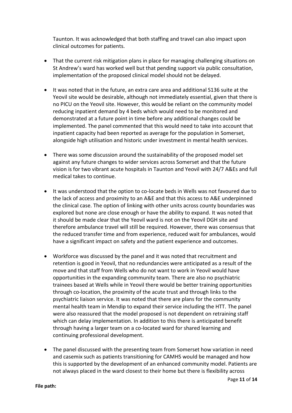Taunton. It was acknowledged that both staffing and travel can also impact upon clinical outcomes for patients.

- That the current risk mitigation plans in place for managing challenging situations on St Andrew's ward has worked well but that pending support via public consultation, implementation of the proposed clinical model should not be delayed.
- It was noted that in the future, an extra care area and additional S136 suite at the Yeovil site would be desirable, although not immediately essential, given that there is no PICU on the Yeovil site. However, this would be reliant on the community model reducing inpatient demand by 4 beds which would need to be monitored and demonstrated at a future point in time before any additional changes could be implemented. The panel commented that this would need to take into account that inpatient capacity had been reported as average for the population in Somerset, alongside high utilisation and historic under investment in mental health services.
- There was some discussion around the sustainability of the proposed model set against any future changes to wider services across Somerset and that the future vision is for two vibrant acute hospitals in Taunton and Yeovil with 24/7 A&Es and full medical takes to continue.
- It was understood that the option to co-locate beds in Wells was not favoured due to the lack of access and proximity to an A&E and that this access to A&E underpinned the clinical case. The option of linking with other units across county boundaries was explored but none are close enough or have the ability to expand. It was noted that it should be made clear that the Yeovil ward is not on the Yeovil DGH site and therefore ambulance travel will still be required. However, there was consensus that the reduced transfer time and from experience, reduced wait for ambulances, would have a significant impact on safety and the patient experience and outcomes.
- Workforce was discussed by the panel and it was noted that recruitment and retention is good in Yeovil, that no redundancies were anticipated as a result of the move and that staff from Wells who do not want to work in Yeovil would have opportunities in the expanding community team. There are also no psychiatric trainees based at Wells while in Yeovil there would be better training opportunities through co-location, the proximity of the acute trust and through links to the psychiatric liaison service. It was noted that there are plans for the community mental health team in Mendip to expand their service including the HTT. The panel were also reassured that the model proposed is not dependent on retraining staff which can delay implementation. In addition to this there is anticipated benefit through having a larger team on a co-located ward for shared learning and continuing professional development.
- The panel discussed with the presenting team from Somerset how variation in need and casemix such as patients transitioning for CAMHS would be managed and how this is supported by the development of an enhanced community model. Patients are not always placed in the ward closest to their home but there is flexibility across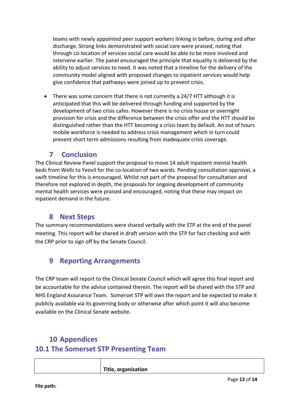teams with newly appointed peer support workers linking in before, during and after discharge. Strong links demonstrated with social care were praised, noting that through co-location of services social care would be able to be more involved and intervene earlier. The panel encouraged the principle that equality is delivered by the ability to adjust services to need. It was noted that a timeline for the delivery of the community model aligned with proposed changes to inpatient services would help give confidence that pathways were joined up to prevent crisis.

• There was some concern that there is not currently a 24/7 HTT although it is anticipated that this will be delivered through funding and supported by the development of two crisis cafes. However there is no crisis house or overnight provision for crisis and the difference between the crisis offer and the HTT should be distinguished rather than the HTT becoming a crisis team by default. An out of hours mobile workforce is needed to address crisis management which in turn could prevent short term admissions resulting from inadequate crisis coverage.

#### **7 Conclusion**

The Clinical Review Panel support the proposal to move 14 adult inpatient mental health beds from Wells to Yeovil for the co-location of two wards. Pending consultation approval, a swift timeline for this is encouraged. Whilst not part of the proposal for consultation and therefore not explored in depth, the proposals for ongoing development of community mental health services were praised and encouraged, noting that these may impact on inpatient demand in the future.

#### **8 Next Steps**

The summary recommendations were shared verbally with the STP at the end of the panel meeting. This report will be shared in draft version with the STP for fact checking and with the CRP prior to sign off by the Senate Council.

#### **9 Reporting Arrangements**

The CRP team will report to the Clinical Senate Council which will agree this final report and be accountable for the advice contained therein. The report will be shared with the STP and NHS England Assurance Team. Somerset STP will own the report and be expected to make it publicly available via its governing body or otherwise after which point it will also become available on the Clinical Senate website.

## **10 Appendices 10.1 The Somerset STP Presenting Team**

| Title, organisation |
|---------------------|
|                     |
|                     |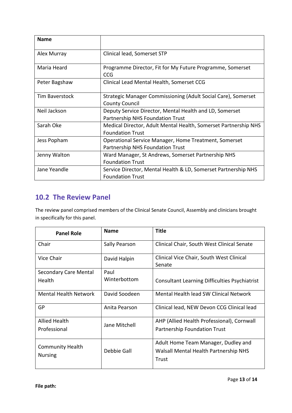| <b>Name</b>    |                                                                                                  |
|----------------|--------------------------------------------------------------------------------------------------|
| Alex Murray    | Clinical lead, Somerset STP                                                                      |
| Maria Heard    | Programme Director, Fit for My Future Programme, Somerset<br><b>CCG</b>                          |
| Peter Bagshaw  | Clinical Lead Mental Health, Somerset CCG                                                        |
| Tim Baverstock | Strategic Manager Commissioning (Adult Social Care), Somerset<br><b>County Council</b>           |
| Neil Jackson   | Deputy Service Director, Mental Health and LD, Somerset<br>Partnership NHS Foundation Trust      |
| Sarah Oke      | Medical Director, Adult Mental Health, Somerset Partnership NHS<br><b>Foundation Trust</b>       |
| Jess Popham    | Operational Service Manager, Home Treatment, Somerset<br><b>Partnership NHS Foundation Trust</b> |
| Jenny Walton   | Ward Manager, St Andrews, Somerset Partnership NHS<br><b>Foundation Trust</b>                    |
| Jane Yeandle   | Service Director, Mental Health & LD, Somerset Partnership NHS<br><b>Foundation Trust</b>        |

## **10.2 The Review Panel**

The review panel comprised members of the Clinical Senate Council, Assembly and clinicians brought in specifically for this panel.

| <b>Panel Role</b>            | <b>Name</b>   | <b>Title</b>                                         |
|------------------------------|---------------|------------------------------------------------------|
| Chair                        | Sally Pearson | Clinical Chair, South West Clinical Senate           |
| Vice Chair                   | David Halpin  | Clinical Vice Chair, South West Clinical<br>Senate   |
| <b>Secondary Care Mental</b> | Paul          |                                                      |
| <b>Health</b>                | Winterbottom  | <b>Consultant Learning Difficulties Psychiatrist</b> |
| Mental Health Network        | David Soodeen | Mental Health lead SW Clinical Network               |
| GP                           | Anita Pearson | Clinical lead, NEW Devon CCG Clinical lead           |
| Allied Health                | Jane Mitchell | AHP (Allied Health Professional), Cornwall           |
| Professional                 |               | <b>Partnership Foundation Trust</b>                  |
| <b>Community Health</b>      |               | Adult Home Team Manager, Dudley and                  |
| <b>Nursing</b>               | Debbie Gall   | Walsall Mental Health Partnership NHS                |
|                              |               | Trust                                                |